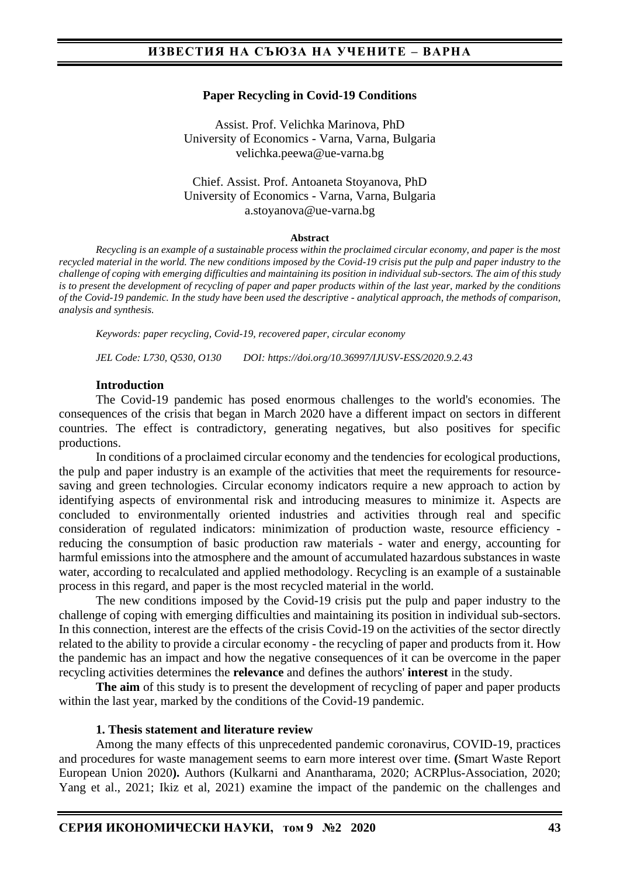#### **Paper Recycling in Covid-19 Conditions**

Assist. Prof. Velichka Marinova, PhD University of Economics - Varna, Varna, Bulgaria velichka.peewa@ue-varna.bg

#### Chief. Assist. Prof. Antoaneta Stoyanova, PhD University of Economics - Varna, Varna, Bulgaria a.stoyanova@ue-varna.bg

#### **Abstract**

*Recycling is an example of a sustainable process within the proclaimed circular economy, and paper is the most recycled material in the world. The new conditions imposed by the Covid-19 crisis put the pulp and paper industry to the challenge of coping with emerging difficulties and maintaining its position in individual sub-sectors. The aim of this study is to present the development of recycling of paper and paper products within of the last year, marked by the conditions of the Covid-19 pandemic. In the study have been used the descriptive - analytical approach, the methods of comparison, analysis and synthesis.*

*Keywords: paper recycling, Covid-19, recovered paper, circular economy*

*JEL Code: L730, Q530, O130 DOI: https://doi.org/10.36997/IJUSV-ESS/2020.9.2.43*

#### **Introduction**

The Covid-19 pandemic has posed enormous challenges to the world's economies. The consequences of the crisis that began in March 2020 have a different impact on sectors in different countries. The effect is contradictory, generating negatives, but also positives for specific productions.

In conditions of a proclaimed circular economy and the tendencies for ecological productions, the pulp and paper industry is an example of the activities that meet the requirements for resourcesaving and green technologies. Circular economy indicators require a new approach to action by identifying aspects of environmental risk and introducing measures to minimize it. Aspects are concluded to environmentally oriented industries and activities through real and specific consideration of regulated indicators: minimization of production waste, resource efficiency reducing the consumption of basic production raw materials - water and energy, accounting for harmful emissions into the atmosphere and the amount of accumulated hazardous substances in waste water, according to recalculated and applied methodology. Recycling is an example of a sustainable process in this regard, and paper is the most recycled material in the world.

The new conditions imposed by the Covid-19 crisis put the pulp and paper industry to the challenge of coping with emerging difficulties and maintaining its position in individual sub-sectors. In this connection, interest are the effects of the crisis Covid-19 on the activities of the sector directly related to the ability to provide a circular economy - the recycling of paper and products from it. How the pandemic has an impact and how the negative consequences of it can be overcome in the paper recycling activities determines the **relevance** and defines the authors' **interest** in the study.

**The aim** of this study is to present the development of recycling of paper and paper products within the last year, marked by the conditions of the Covid-19 pandemic.

#### **1. Thesis statement and literature review**

Among the many effects of this unprecedented pandemic coronavirus, COVID-19, practices and procedures for waste management seems to earn more interest over time. **(**Smart Waste Report European Union 2020**).** Authors (Kulkarni and Anantharama, 2020; ACRPlus-Association, 2020; Yang et al., 2021; Ikiz et al, 2021) examine the impact of the pandemic on the challenges and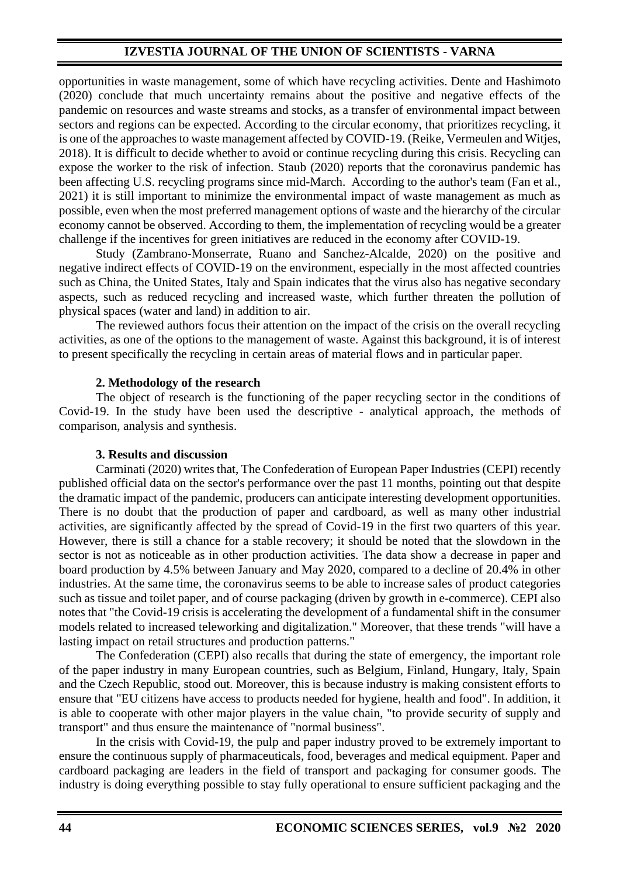## **IZVESTIA JOURNAL OF THE UNION OF SCIENTISTS - VARNA**

opportunities in waste management, some of which have recycling activities. Dente and Hashimoto (2020) conclude that much uncertainty remains about the positive and negative effects of the pandemic on resources and waste streams and stocks, as a transfer of environmental impact between sectors and regions can be expected. According to the circular economy, that prioritizes recycling, it is one of the approaches to waste management affected by COVID-19. (Reike, Vermeulen and Witjes, 2018). It is difficult to decide whether to avoid or continue recycling during this crisis. Recycling can expose the worker to the risk of infection. Staub (2020) reports that the coronavirus pandemic has been affecting U.S. recycling programs since mid-March. According to the author's team (Fan et al., 2021) it is still important to minimize the environmental impact of waste management as much as possible, even when the most preferred management options of waste and the hierarchy of the circular economy cannot be observed. According to them, the implementation of recycling would be a greater challenge if the incentives for green initiatives are reduced in the economy after COVID-19.

Study (Zambrano-Monserrate, Ruano and Sanchez-Alcalde, 2020) on the positive and negative indirect effects of COVID-19 on the environment, especially in the most affected countries such as China, the United States, Italy and Spain indicates that the virus also has negative secondary aspects, such as reduced recycling and increased waste, which further threaten the pollution of physical spaces (water and land) in addition to air.

The reviewed authors focus their attention on the impact of the crisis on the overall recycling activities, as one of the options to the management of waste. Against this background, it is of interest to present specifically the recycling in certain areas of material flows and in particular paper.

### **2. Methodology of the research**

The object of research is the functioning of the paper recycling sector in the conditions of Covid-19. In the study have been used the descriptive - analytical approach, the methods of comparison, analysis and synthesis.

### **3. Results and discussion**

Carminati (2020) writes that, The Confederation of European Paper Industries (CEPI) recently published official data on the sector's performance over the past 11 months, pointing out that despite the dramatic impact of the pandemic, producers can anticipate interesting development opportunities. There is no doubt that the production of paper and cardboard, as well as many other industrial activities, are significantly affected by the spread of Covid-19 in the first two quarters of this year. However, there is still a chance for a stable recovery; it should be noted that the slowdown in the sector is not as noticeable as in other production activities. The data show a decrease in paper and board production by 4.5% between January and May 2020, compared to a decline of 20.4% in other industries. At the same time, the coronavirus seems to be able to increase sales of product categories such as tissue and toilet paper, and of course packaging (driven by growth in e-commerce). CEPI also notes that "the Covid-19 crisis is accelerating the development of a fundamental shift in the consumer models related to increased teleworking and digitalization." Moreover, that these trends "will have a lasting impact on retail structures and production patterns."

The Confederation (CEPI) also recalls that during the state of emergency, the important role of the paper industry in many European countries, such as Belgium, Finland, Hungary, Italy, Spain and the Czech Republic, stood out. Moreover, this is because industry is making consistent efforts to ensure that "EU citizens have access to products needed for hygiene, health and food". In addition, it is able to cooperate with other major players in the value chain, "to provide security of supply and transport" and thus ensure the maintenance of "normal business".

In the crisis with Covid-19, the pulp and paper industry proved to be extremely important to ensure the continuous supply of pharmaceuticals, food, beverages and medical equipment. Paper and cardboard packaging are leaders in the field of transport and packaging for consumer goods. The industry is doing everything possible to stay fully operational to ensure sufficient packaging and the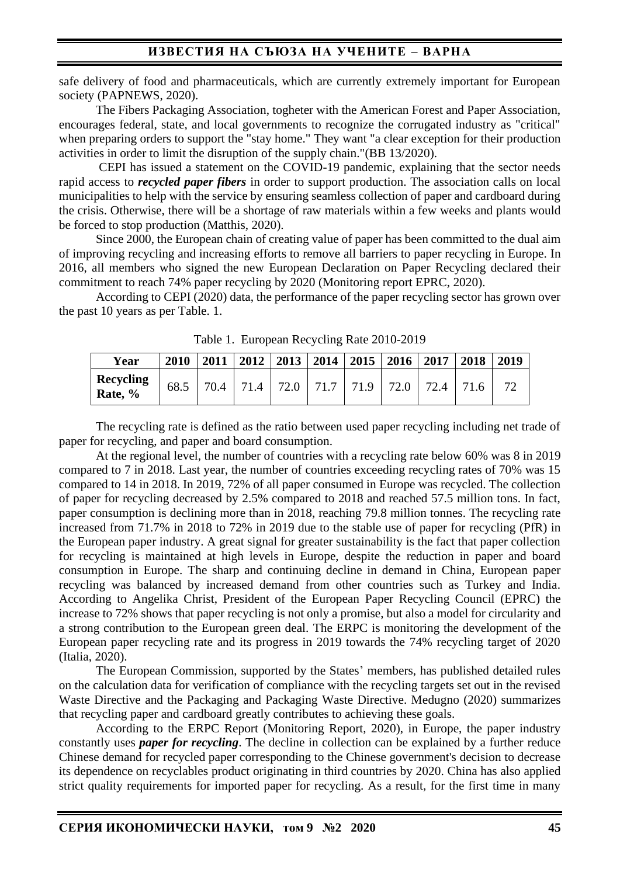safe delivery of food and pharmaceuticals, which are currently extremely important for European society (PAPNEWS, 2020).

The Fibers Packaging Association, togheter with the American Forest and Paper Association, encourages federal, state, and local governments to recognize the corrugated industry as "critical" when preparing orders to support the "stay home." They want "a clear exception for their production activities in order to limit the disruption of the supply chain."(BB 13/2020).

CEPI has issued a statement on the COVID-19 pandemic, explaining that the sector needs rapid access to *recycled paper fibers* in order to support production. The association calls on local municipalities to help with the service by ensuring seamless collection of paper and cardboard during the crisis. Otherwise, there will be a shortage of raw materials within a few weeks and plants would be forced to stop production (Matthis, 2020).

Since 2000, the European chain of creating value of paper has been committed to the dual aim of improving recycling and increasing efforts to remove all barriers to paper recycling in Europe. In 2016, all members who signed the new European Declaration on Paper Recycling declared their commitment to reach 74% paper recycling by 2020 (Monitoring report EPRC, 2020).

According to CEPI (2020) data, the performance of the paper recycling sector has grown over the past 10 years as per Table. 1.

| Year                 | 2010 | 2011 |  |  | $2012$   2013   2014   2015   2016 |  |  | 2017      | 2018 | 2019 |
|----------------------|------|------|--|--|------------------------------------|--|--|-----------|------|------|
| Recycling<br>Rate, % | 68.5 |      |  |  | 70.4 71.4 72.0 71.7 71.9 72.0      |  |  | 72.4 71.6 |      |      |

Table 1. European Recycling Rate 2010-2019

The recycling rate is defined as the ratio between used paper recycling including net trade of paper for recycling, and paper and board consumption.

At the regional level, the number of countries with a recycling rate below 60% was 8 in 2019 compared to 7 in 2018. Last year, the number of countries exceeding recycling rates of 70% was 15 compared to 14 in 2018. In 2019, 72% of all paper consumed in Europe was recycled. The collection of paper for recycling decreased by 2.5% compared to 2018 and reached 57.5 million tons. In fact, paper consumption is declining more than in 2018, reaching 79.8 million tonnes. The recycling rate increased from 71.7% in 2018 to 72% in 2019 due to the stable use of paper for recycling (PfR) in the European paper industry. A great signal for greater sustainability is the fact that paper collection for recycling is maintained at high levels in Europe, despite the reduction in paper and board consumption in Europe. The sharp and continuing decline in demand in China, European paper recycling was balanced by increased demand from other countries such as Turkey and India. According to Angelika Christ, President of the European Paper Recycling Council (EPRC) the increase to 72% shows that paper recycling is not only a promise, but also a model for circularity and a strong contribution to the European green deal. The ERPC is monitoring the development of the European paper recycling rate and its progress in 2019 towards the 74% recycling target of 2020 (Italia, 2020).

The European Commission, supported by the States' members, has published detailed rules on the calculation data for verification of compliance with the recycling targets set out in the revised Waste Directive and the Packaging and Packaging Waste Directive. Medugno (2020) summarizes that recycling paper and cardboard greatly contributes to achieving these goals.

According to the ERPC Report (Monitoring Report, 2020), in Europe, the paper industry constantly uses *paper for recycling*. The decline in collection can be explained by a further reduce Chinese demand for recycled paper corresponding to the Chinese government's decision to decrease its dependence on recyclables product originating in third countries by 2020. China has also applied strict quality requirements for imported paper for recycling. As a result, for the first time in many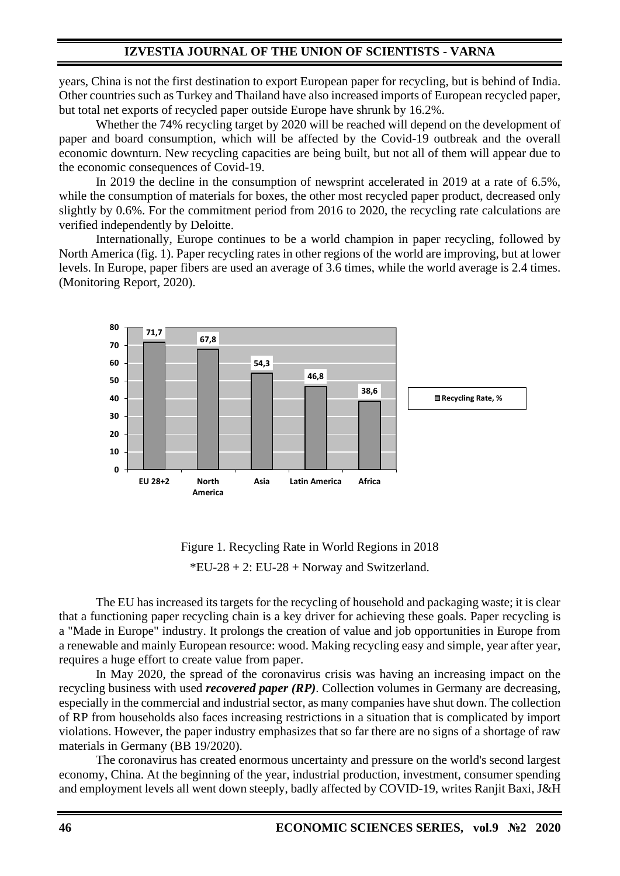## **IZVESTIA JOURNAL OF THE UNION OF SCIENTISTS - VARNA**

years, China is not the first destination to export European paper for recycling, but is behind of India. Other countries such as Turkey and Thailand have also increased imports of European recycled paper, but total net exports of recycled paper outside Europe have shrunk by 16.2%.

Whether the 74% recycling target by 2020 will be reached will depend on the development of paper and board consumption, which will be affected by the Covid-19 outbreak and the overall economic downturn. New recycling capacities are being built, but not all of them will appear due to the economic consequences of Covid-19.

In 2019 the decline in the consumption of newsprint accelerated in 2019 at a rate of 6.5%, while the consumption of materials for boxes, the other most recycled paper product, decreased only slightly by 0.6%. For the commitment period from 2016 to 2020, the recycling rate calculations are verified independently by Deloitte.

Internationally, Europe continues to be a world champion in paper recycling, followed by North America (fig. 1). Paper recycling rates in other regions of the world are improving, but at lower levels. In Europe, paper fibers are used an average of 3.6 times, while the world average is 2.4 times. (Monitoring Report, 2020).



Figure 1. Recycling Rate in World Regions in 2018  $*EU-28 + 2: EU-28 + Norway$  and Switzerland.

The EU has increased its targets for the recycling of household and packaging waste; it is clear that a functioning paper recycling chain is a key driver for achieving these goals. Paper recycling is a "Made in Europe" industry. It prolongs the creation of value and job opportunities in Europe from a renewable and mainly European resource: wood. Making recycling easy and simple, year after year, requires a huge effort to create value from paper.

In May 2020, the spread of the coronavirus crisis was having an increasing impact on the recycling business with used *recovered paper (RP)*. Collection volumes in Germany are decreasing, especially in the commercial and industrial sector, as many companies have shut down. The collection of RP from households also faces increasing restrictions in a situation that is complicated by import violations. However, the paper industry emphasizes that so far there are no signs of a shortage of raw materials in Germany (BB 19/2020).

The coronavirus has created enormous uncertainty and pressure on the world's second largest economy, China. At the beginning of the year, industrial production, investment, consumer spending and employment levels all went down steeply, badly affected by COVID-19, writes Ranjit Baxi, J&H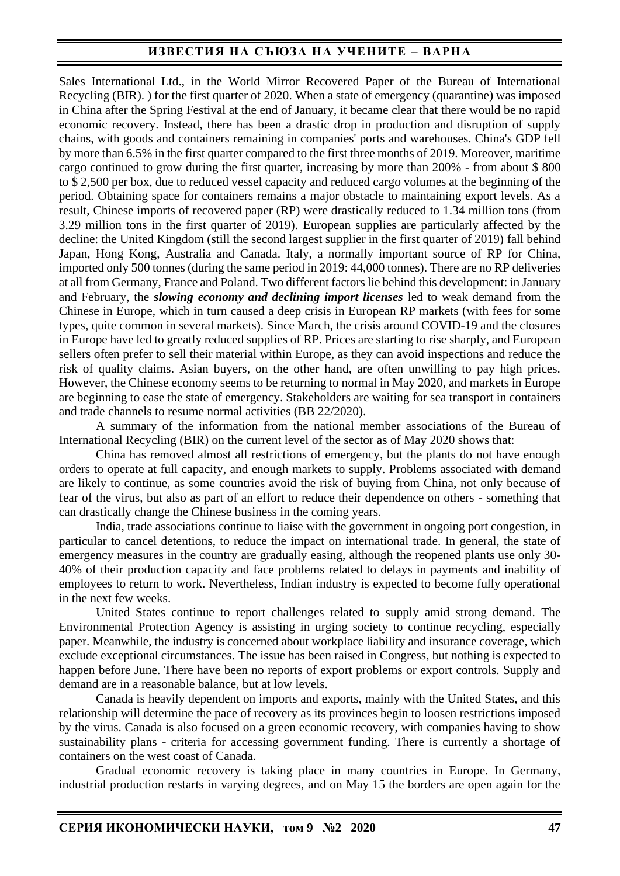# **ИЗВЕСТИЯ НА СЪЮЗА НА УЧЕНИТЕ – ВАРНА**

Sales International Ltd., in the World Mirror Recovered Paper of the Bureau of International Recycling (BIR). ) for the first quarter of 2020. When a state of emergency (quarantine) was imposed in China after the Spring Festival at the end of January, it became clear that there would be no rapid economic recovery. Instead, there has been a drastic drop in production and disruption of supply chains, with goods and containers remaining in companies' ports and warehouses. China's GDP fell by more than 6.5% in the first quarter compared to the first three months of 2019. Moreover, maritime cargo continued to grow during the first quarter, increasing by more than 200% - from about \$ 800 to \$ 2,500 per box, due to reduced vessel capacity and reduced cargo volumes at the beginning of the period. Obtaining space for containers remains a major obstacle to maintaining export levels. As a result, Chinese imports of recovered paper (RP) were drastically reduced to 1.34 million tons (from 3.29 million tons in the first quarter of 2019). European supplies are particularly affected by the decline: the United Kingdom (still the second largest supplier in the first quarter of 2019) fall behind Japan, Hong Kong, Australia and Canada. Italy, a normally important source of RP for China, imported only 500 tonnes (during the same period in 2019: 44,000 tonnes). There are no RP deliveries at all from Germany, France and Poland. Two different factors lie behind this development: in January and February, the *slowing economy and declining import licenses* led to weak demand from the Chinese in Europe, which in turn caused a deep crisis in European RP markets (with fees for some types, quite common in several markets). Since March, the crisis around COVID-19 and the closures in Europe have led to greatly reduced supplies of RP. Prices are starting to rise sharply, and European sellers often prefer to sell their material within Europe, as they can avoid inspections and reduce the risk of quality claims. Asian buyers, on the other hand, are often unwilling to pay high prices. However, the Chinese economy seems to be returning to normal in May 2020, and markets in Europe are beginning to ease the state of emergency. Stakeholders are waiting for sea transport in containers and trade channels to resume normal activities (BB 22/2020).

A summary of the information from the national member associations of the Bureau of International Recycling (BIR) on the current level of the sector as of May 2020 shows that:

China has removed almost all restrictions of emergency, but the plants do not have enough orders to operate at full capacity, and enough markets to supply. Problems associated with demand are likely to continue, as some countries avoid the risk of buying from China, not only because of fear of the virus, but also as part of an effort to reduce their dependence on others - something that can drastically change the Chinese business in the coming years.

India, trade associations continue to liaise with the government in ongoing port congestion, in particular to cancel detentions, to reduce the impact on international trade. In general, the state of emergency measures in the country are gradually easing, although the reopened plants use only 30- 40% of their production capacity and face problems related to delays in payments and inability of employees to return to work. Nevertheless, Indian industry is expected to become fully operational in the next few weeks.

United States continue to report challenges related to supply amid strong demand. The Environmental Protection Agency is assisting in urging society to continue recycling, especially paper. Meanwhile, the industry is concerned about workplace liability and insurance coverage, which exclude exceptional circumstances. The issue has been raised in Congress, but nothing is expected to happen before June. There have been no reports of export problems or export controls. Supply and demand are in a reasonable balance, but at low levels.

Canada is heavily dependent on imports and exports, mainly with the United States, and this relationship will determine the pace of recovery as its provinces begin to loosen restrictions imposed by the virus. Canada is also focused on a green economic recovery, with companies having to show sustainability plans - criteria for accessing government funding. There is currently a shortage of containers on the west coast of Canada.

Gradual economic recovery is taking place in many countries in Europe. In Germany, industrial production restarts in varying degrees, and on May 15 the borders are open again for the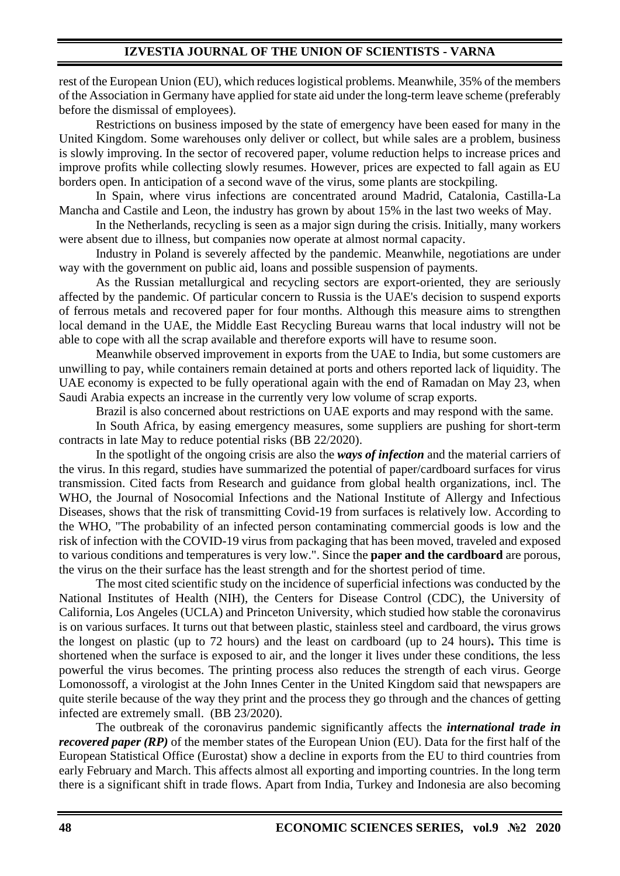rest of the European Union (EU), which reduces logistical problems. Meanwhile, 35% of the members of the Association in Germany have applied for state aid under the long-term leave scheme (preferably before the dismissal of employees).

Restrictions on business imposed by the state of emergency have been eased for many in the United Kingdom. Some warehouses only deliver or collect, but while sales are a problem, business is slowly improving. In the sector of recovered paper, volume reduction helps to increase prices and improve profits while collecting slowly resumes. However, prices are expected to fall again as EU borders open. In anticipation of a second wave of the virus, some plants are stockpiling.

In Spain, where virus infections are concentrated around Madrid, Catalonia, Castilla-La Mancha and Castile and Leon, the industry has grown by about 15% in the last two weeks of May.

In the Netherlands, recycling is seen as a major sign during the crisis. Initially, many workers were absent due to illness, but companies now operate at almost normal capacity.

Industry in Poland is severely affected by the pandemic. Meanwhile, negotiations are under way with the government on public aid, loans and possible suspension of payments.

As the Russian metallurgical and recycling sectors are export-oriented, they are seriously affected by the pandemic. Of particular concern to Russia is the UAE's decision to suspend exports of ferrous metals and recovered paper for four months. Although this measure aims to strengthen local demand in the UAE, the Middle East Recycling Bureau warns that local industry will not be able to cope with all the scrap available and therefore exports will have to resume soon.

Meanwhile observed improvement in exports from the UAE to India, but some customers are unwilling to pay, while containers remain detained at ports and others reported lack of liquidity. The UAE economy is expected to be fully operational again with the end of Ramadan on May 23, when Saudi Arabia expects an increase in the currently very low volume of scrap exports.

Brazil is also concerned about restrictions on UAE exports and may respond with the same.

In South Africa, by easing emergency measures, some suppliers are pushing for short-term contracts in late May to reduce potential risks (BB 22/2020).

In the spotlight of the ongoing crisis are also the *ways of infection* and the material carriers of the virus. In this regard, studies have summarized the potential of paper/cardboard surfaces for virus transmission. Cited facts from Research and guidance from global health organizations, incl. The WHO, the Journal of Nosocomial Infections and the National Institute of Allergy and Infectious Diseases, shows that the risk of transmitting Covid-19 from surfaces is relatively low. According to the WHO, "The probability of an infected person contaminating commercial goods is low and the risk of infection with the COVID-19 virus from packaging that has been moved, traveled and exposed to various conditions and temperatures is very low.". Since the **paper and the cardboard** are porous, the virus on the their surface has the least strength and for the shortest period of time.

The most cited scientific study on the incidence of superficial infections was conducted by the National Institutes of Health (NIH), the Centers for Disease Control (CDC), the University of California, Los Angeles (UCLA) and Princeton University, which studied how stable the coronavirus is on various surfaces. It turns out that between plastic, stainless steel and cardboard, the virus grows the longest on plastic (up to 72 hours) and the least on cardboard (up to 24 hours)**.** This time is shortened when the surface is exposed to air, and the longer it lives under these conditions, the less powerful the virus becomes. The printing process also reduces the strength of each virus. George Lomonossoff, a virologist at the John Innes Center in the United Kingdom said that newspapers are quite sterile because of the way they print and the process they go through and the chances of getting infected are extremely small. (BB 23/2020).

The outbreak of the coronavirus pandemic significantly affects the *international trade in recovered paper (RP)* of the member states of the European Union (EU). Data for the first half of the European Statistical Office (Eurostat) show a decline in exports from the EU to third countries from early February and March. This affects almost all exporting and importing countries. In the long term there is a significant shift in trade flows. Apart from India, Turkey and Indonesia are also becoming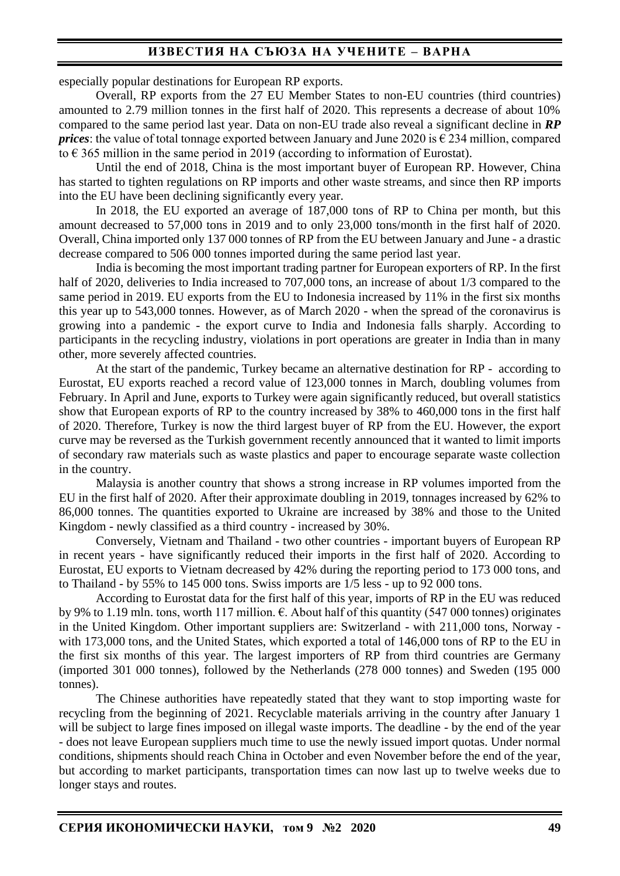## **ИЗВЕСТИЯ НА СЪЮЗА НА УЧЕНИТЕ – ВАРНА**

especially popular destinations for European RP exports.

Overall, RP exports from the 27 EU Member States to non-EU countries (third countries) amounted to 2.79 million tonnes in the first half of 2020. This represents a decrease of about 10% compared to the same period last year. Data on non-EU trade also reveal a significant decline in *RP prices*: the value of total tonnage exported between January and June 2020 is  $\epsilon$  234 million, compared to  $\epsilon$  365 million in the same period in 2019 (according to information of Eurostat).

Until the end of 2018, China is the most important buyer of European RP. However, China has started to tighten regulations on RP imports and other waste streams, and since then RP imports into the EU have been declining significantly every year.

In 2018, the EU exported an average of 187,000 tons of RP to China per month, but this amount decreased to 57,000 tons in 2019 and to only 23,000 tons/month in the first half of 2020. Overall, China imported only 137 000 tonnes of RP from the EU between January and June - a drastic decrease compared to 506 000 tonnes imported during the same period last year.

India is becoming the most important trading partner for European exporters of RP. In the first half of 2020, deliveries to India increased to 707,000 tons, an increase of about 1/3 compared to the same period in 2019. EU exports from the EU to Indonesia increased by 11% in the first six months this year up to 543,000 tonnes. However, as of March 2020 - when the spread of the coronavirus is growing into a pandemic - the export curve to India and Indonesia falls sharply. According to participants in the recycling industry, violations in port operations are greater in India than in many other, more severely affected countries.

At the start of the pandemic, Turkey became an alternative destination for RP - according to Eurostat, EU exports reached a record value of 123,000 tonnes in March, doubling volumes from February. In April and June, exports to Turkey were again significantly reduced, but overall statistics show that European exports of RP to the country increased by 38% to 460,000 tons in the first half of 2020. Therefore, Turkey is now the third largest buyer of RP from the EU. However, the export curve may be reversed as the Turkish government recently announced that it wanted to limit imports of secondary raw materials such as waste plastics and paper to encourage separate waste collection in the country.

Malaysia is another country that shows a strong increase in RP volumes imported from the EU in the first half of 2020. After their approximate doubling in 2019, tonnages increased by 62% to 86,000 tonnes. The quantities exported to Ukraine are increased by 38% and those to the United Kingdom - newly classified as a third country - increased by 30%.

Conversely, Vietnam and Thailand - two other countries - important buyers of European RP in recent years - have significantly reduced their imports in the first half of 2020. According to Eurostat, EU exports to Vietnam decreased by 42% during the reporting period to 173 000 tons, and to Thailand - by 55% to 145 000 tons. Swiss imports are 1/5 less - up to 92 000 tons.

According to Eurostat data for the first half of this year, imports of RP in the EU was reduced by 9% to 1.19 mln. tons, worth 117 million.  $\epsilon$ . About half of this quantity (547 000 tonnes) originates in the United Kingdom. Other important suppliers are: Switzerland - with 211,000 tons, Norway with 173,000 tons, and the United States, which exported a total of 146,000 tons of RP to the EU in the first six months of this year. The largest importers of RP from third countries are Germany (imported 301 000 tonnes), followed by the Netherlands (278 000 tonnes) and Sweden (195 000 tonnes).

The Chinese authorities have repeatedly stated that they want to stop importing waste for recycling from the beginning of 2021. Recyclable materials arriving in the country after January 1 will be subject to large fines imposed on illegal waste imports. The deadline - by the end of the year - does not leave European suppliers much time to use the newly issued import quotas. Under normal conditions, shipments should reach China in October and even November before the end of the year, but according to market participants, transportation times can now last up to twelve weeks due to longer stays and routes.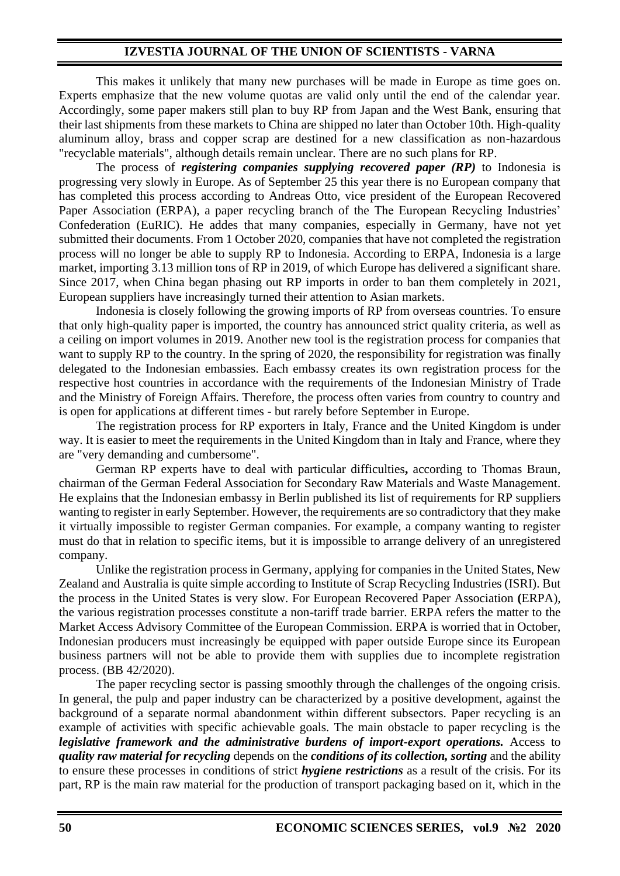## **IZVESTIA JOURNAL OF THE UNION OF SCIENTISTS - VARNA**

This makes it unlikely that many new purchases will be made in Europe as time goes on. Experts emphasize that the new volume quotas are valid only until the end of the calendar year. Accordingly, some paper makers still plan to buy RP from Japan and the West Bank, ensuring that their last shipments from these markets to China are shipped no later than October 10th. High-quality aluminum alloy, brass and copper scrap are destined for a new classification as non-hazardous "recyclable materials", although details remain unclear. There are no such plans for RP.

The process of *registering companies supplying recovered paper (RP)* to Indonesia is progressing very slowly in Europe. As of September 25 this year there is no European company that has completed this process according to Andreas Otto, vice president of the European Recovered Paper Association (ERPA), a paper recycling branch of the The European Recycling Industries' Confederation (EuRIC). He addes that many companies, especially in Germany, have not yet submitted their documents. From 1 October 2020, companies that have not completed the registration process will no longer be able to supply RP to Indonesia. According to ERPA, Indonesia is a large market, importing 3.13 million tons of RP in 2019, of which Europe has delivered a significant share. Since 2017, when China began phasing out RP imports in order to ban them completely in 2021, European suppliers have increasingly turned their attention to Asian markets.

Indonesia is closely following the growing imports of RP from overseas countries. To ensure that only high-quality paper is imported, the country has announced strict quality criteria, as well as a ceiling on import volumes in 2019. Another new tool is the registration process for companies that want to supply RP to the country. In the spring of 2020, the responsibility for registration was finally delegated to the Indonesian embassies. Each embassy creates its own registration process for the respective host countries in accordance with the requirements of the Indonesian Ministry of Trade and the Ministry of Foreign Affairs. Therefore, the process often varies from country to country and is open for applications at different times - but rarely before September in Europe.

The registration process for RP exporters in Italy, France and the United Kingdom is under way. It is easier to meet the requirements in the United Kingdom than in Italy and France, where they are "very demanding and cumbersome".

German RP experts have to deal with particular difficulties**,** according to Thomas Braun, chairman of the German Federal Association for Secondary Raw Materials and Waste Management. He explains that the Indonesian embassy in Berlin published its list of requirements for RP suppliers wanting to register in early September. However, the requirements are so contradictory that they make it virtually impossible to register German companies. For example, a company wanting to register must do that in relation to specific items, but it is impossible to arrange delivery of an unregistered company.

Unlike the registration process in Germany, applying for companies in the United States, New Zealand and Australia is quite simple according to Institute of Scrap Recycling Industries (ISRI). But the process in the United States is very slow. For European Recovered Paper Association **(**ERPA), the various registration processes constitute a non-tariff trade barrier. ERPA refers the matter to the Market Access Advisory Committee of the European Commission. ERPA is worried that in October, Indonesian producers must increasingly be equipped with paper outside Europe since its European business partners will not be able to provide them with supplies due to incomplete registration process. (BB 42/2020).

The paper recycling sector is passing smoothly through the challenges of the ongoing crisis. In general, the pulp and paper industry can be characterized by a positive development, against the background of a separate normal abandonment within different subsectors. Paper recycling is an example of activities with specific achievable goals. The main obstacle to paper recycling is the *legislative framework and the administrative burdens of import-export operations.* Access to *quality raw material for recycling* depends on the *conditions of its collection, sorting* and the ability to ensure these processes in conditions of strict *hygiene restrictions* as a result of the crisis. For its part, RP is the main raw material for the production of transport packaging based on it, which in the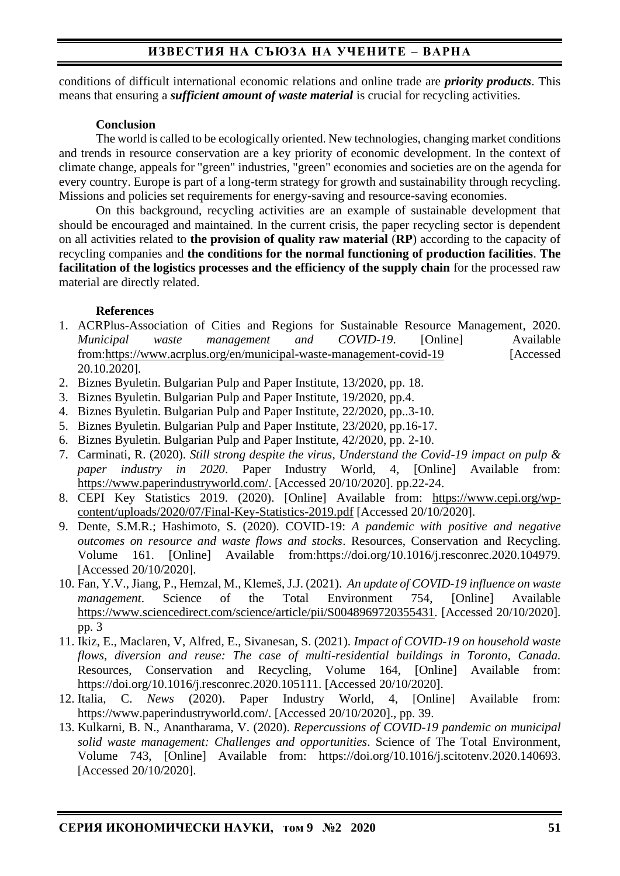# **ИЗВЕСТИЯ НА СЪЮЗА НА УЧЕНИТЕ – ВАРНА**

conditions of difficult international economic relations and online trade are *priority products*. This means that ensuring a *sufficient amount of waste material* is crucial for recycling activities.

### **Conclusion**

The world is called to be ecologically oriented. New technologies, changing market conditions and trends in resource conservation are a key priority of economic development. In the context of climate change, appeals for "green" industries, "green" economies and societies are on the agenda for every country. Europe is part of a long-term strategy for growth and sustainability through recycling. Missions and policies set requirements for energy-saving and resource-saving economies.

On this background, recycling activities are an example of sustainable development that should be encouraged and maintained. In the current crisis, the paper recycling sector is dependent on all activities related to **the provision of quality raw material** (**RP**) according to the capacity of recycling companies and **the conditions for the normal functioning of production facilities**. **The facilitation of the logistics processes and the efficiency of the supply chain** for the processed raw material are directly related.

### **References**

- 1. ACRPlus-Association of Cities and Regions for Sustainable Resource Management, 2020. *Municipal waste management and COVID-19*. [Online] Available from[:https://www.acrplus.org/en/municipal-waste-management-covid-19](https://www.acrplus.org/en/municipal-waste-management-covid-19) [Accessed 20.10.2020].
- 2. Biznes Byuletin. Bulgarian Pulp and Paper Institute, 13/2020, pp. 18.
- 3. Biznes Byuletin. Bulgarian Pulp and Paper Institute, 19/2020, pp.4.
- 4. Biznes Byuletin. Bulgarian Pulp and Paper Institute, 22/2020, pp..3-10.
- 5. Biznes Byuletin. Bulgarian Pulp and Paper Institute, 23/2020, pp.16-17.
- 6. Biznes Byuletin. Bulgarian Pulp and Paper Institute, 42/2020, pp. 2-10.
- 7. Carminati, R. (2020). *Still strong despite the virus, Understand the Covid-19 impact on pulp & paper industry in 2020*. Paper Industry World, 4, [Online] Available from: [https://www.paperindustryworld.com/.](https://www.paperindustryworld.com/) [Accessed 20/10/2020]. pp.22-24.
- 8. CEPI Key Statistics 2019. (2020). [Online] Available from: [https://www.cepi.org/wp](https://www.cepi.org/wp-content/uploads/2020/07/Final-Key-Statistics-2019.pdf)[content/uploads/2020/07/Final-Key-Statistics-2019.pdf](https://www.cepi.org/wp-content/uploads/2020/07/Final-Key-Statistics-2019.pdf) [Accessed 20/10/2020].
- 9. Dente, S.M.R.; Hashimoto, S. (2020). COVID-19: *A pandemic with positive and negative outcomes on resource and waste flows and stocks*. Resources, Conservation and Recycling. Volume 161. [Online] Available from:https://doi.org/10.1016/j.resconrec.2020.104979. [Accessed 20/10/2020].
- 10. Fan, Y.V., Jiang, P., Hemzal, M., Klemeš, J.J. (2021). *An update of COVID-19 influence on waste management*. Science of the Total Environment 754, [Online] Available [https://www.sciencedirect.com/science/article/pii/S0048969720355431.](https://www.sciencedirect.com/science/article/pii/S0048969720355431) [Accessed 20/10/2020]. pp. 3
- 11. Ikiz, E., Maclaren, V, Alfred, E., Sivanesan, S. (2021). *Impact of COVID-19 on household waste flows, diversion and reuse: The case of multi-residential buildings in Toronto, Canada.* Resources, Conservation and Recycling, Volume 164, [Online] Available from: https://doi.org/10.1016/j.resconrec.2020.105111. [Accessed 20/10/2020].
- 12. Italia, C. *News* (2020). Paper Industry World, 4, [Online] Available from: https://www.paperindustryworld.com/. [Accessed 20/10/2020]., pp. 39.
- 13. Kulkarni, B. N., Anantharama, V. (2020). *Repercussions of COVID-19 pandemic on municipal solid waste management: Challenges and opportunities*. Science of The Total Environment, Volume 743, [Online] Available from: https://doi.org/10.1016/j.scitotenv.2020.140693. [Accessed 20/10/2020].